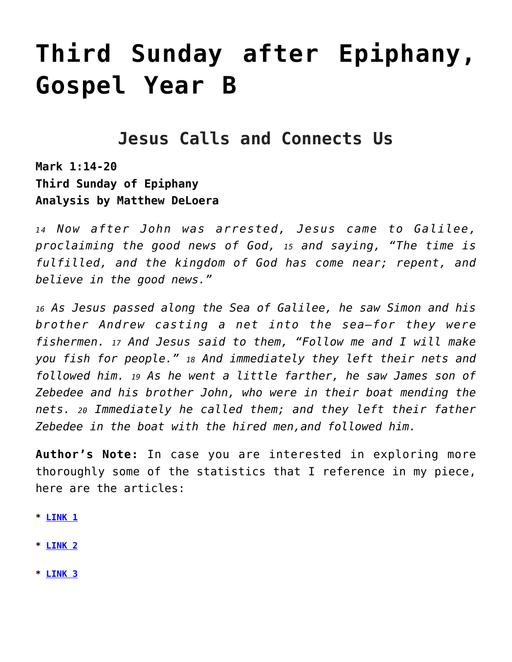# **[Third Sunday after Epiphany,](https://crossings.org/text-study/3rd-sunday-after-epiphany-gospel-year-b/) [Gospel Year B](https://crossings.org/text-study/3rd-sunday-after-epiphany-gospel-year-b/)**

## **Jesus Calls and Connects Us**

**Mark 1:14-20 Third Sunday of Epiphany Analysis by Matthew DeLoera**

*1 4 Now after John was arrested, Jesus came to Galilee, proclaiming the good news of God, 15 and saying, "The time is fulfilled, and the kingdom of God has come near; repent, and believe in the good news."*

*<sup>16</sup> As Jesus passed along the Sea of Galilee, he saw Simon and his brother Andrew casting a net into the sea—for they were fishermen. 17 And Jesus said to them, "Follow me and I will make you fish for people." 18 And immediately they left their nets and followed him. 19 As he went a little farther, he saw James son of Zebedee and his brother John, who were in their boat mending the nets. 20 Immediately he called them; and they left their father Zebedee in the boat with the hired men,and followed him.*

**Author's Note:** In case you are interested in exploring more thoroughly some of the statistics that I reference in my piece, here are the articles:

- **\* [LINK 1](https://www.kpbs.org/news/2020/dec/05/extraordinary-acceleration-takeaways-from-the/)**
- **\* [LINK 2](https://abcnews.go.com/Health/potential-post-holiday-covid-19-surge-catastrophic-impact/story?id=74859998)**
- **\* [LINK 3](https://www.kff.org/coronavirus-covid-19/issue-brief/the-implications-of-covid-19-for-mental-health-and-substance-use/)**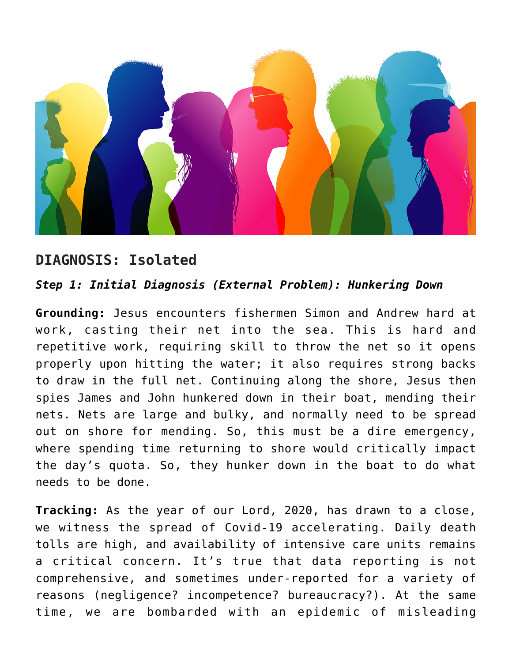

## **DIAGNOSIS: Isolated**

#### *Step 1: Initial Diagnosis (External Problem): Hunkering Down*

**Grounding:** Jesus encounters fishermen Simon and Andrew hard at work, casting their net into the sea. This is hard and repetitive work, requiring skill to throw the net so it opens properly upon hitting the water; it also requires strong backs to draw in the full net. Continuing along the shore, Jesus then spies James and John hunkered down in their boat, mending their nets. Nets are large and bulky, and normally need to be spread out on shore for mending. So, this must be a dire emergency, where spending time returning to shore would critically impact the day's quota. So, they hunker down in the boat to do what needs to be done.

**Tracking:** As the year of our Lord, 2020, has drawn to a close, we witness the spread of Covid-19 accelerating. Daily death tolls are high, and availability of intensive care units remains a critical concern. It's true that data reporting is not comprehensive, and sometimes under-reported for a variety of reasons (negligence? incompetence? bureaucracy?). At the same time, we are bombarded with an epidemic of misleading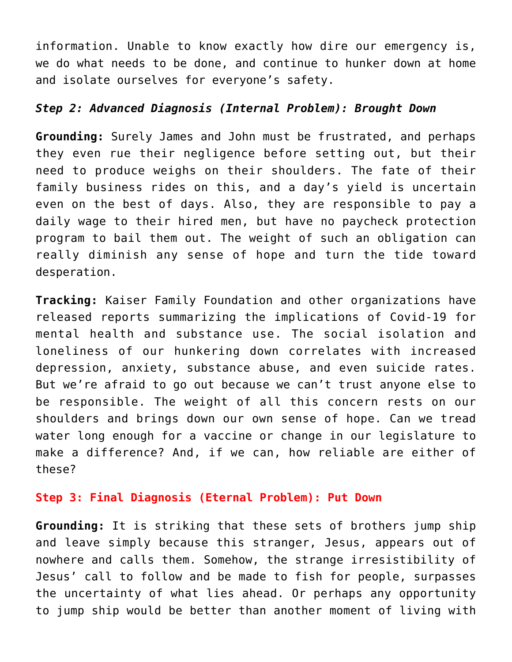information. Unable to know exactly how dire our emergency is, we do what needs to be done, and continue to hunker down at home and isolate ourselves for everyone's safety.

#### *Step 2: Advanced Diagnosis (Internal Problem): Brought Down*

**Grounding:** Surely James and John must be frustrated, and perhaps they even rue their negligence before setting out, but their need to produce weighs on their shoulders. The fate of their family business rides on this, and a day's yield is uncertain even on the best of days. Also, they are responsible to pay a daily wage to their hired men, but have no paycheck protection program to bail them out. The weight of such an obligation can really diminish any sense of hope and turn the tide toward desperation.

**Tracking:** Kaiser Family Foundation and other organizations have released reports summarizing the implications of Covid-19 for mental health and substance use. The social isolation and loneliness of our hunkering down correlates with increased depression, anxiety, substance abuse, and even suicide rates. But we're afraid to go out because we can't trust anyone else to be responsible. The weight of all this concern rests on our shoulders and brings down our own sense of hope. Can we tread water long enough for a vaccine or change in our legislature to make a difference? And, if we can, how reliable are either of these?

#### **Step 3: Final Diagnosis (Eternal Problem): Put Down**

**Grounding:** It is striking that these sets of brothers jump ship and leave simply because this stranger, Jesus, appears out of nowhere and calls them. Somehow, the strange irresistibility of Jesus' call to follow and be made to fish for people, surpasses the uncertainty of what lies ahead. Or perhaps any opportunity to jump ship would be better than another moment of living with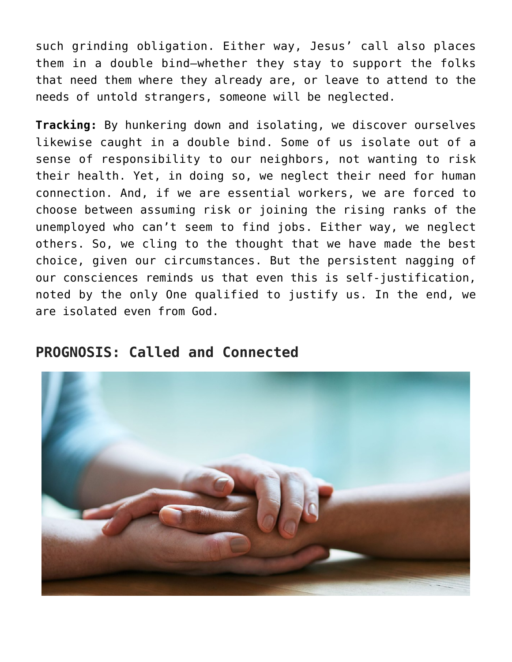such grinding obligation. Either way, Jesus' call also places them in a double bind—whether they stay to support the folks that need them where they already are, or leave to attend to the needs of untold strangers, someone will be neglected.

**Tracking:** By hunkering down and isolating, we discover ourselves likewise caught in a double bind. Some of us isolate out of a sense of responsibility to our neighbors, not wanting to risk their health. Yet, in doing so, we neglect their need for human connection. And, if we are essential workers, we are forced to choose between assuming risk or joining the rising ranks of the unemployed who can't seem to find jobs. Either way, we neglect others. So, we cling to the thought that we have made the best choice, given our circumstances. But the persistent nagging of our consciences reminds us that even this is self-justification, noted by the only One qualified to justify us. In the end, we are isolated even from God.

### **PROGNOSIS: Called and Connected**

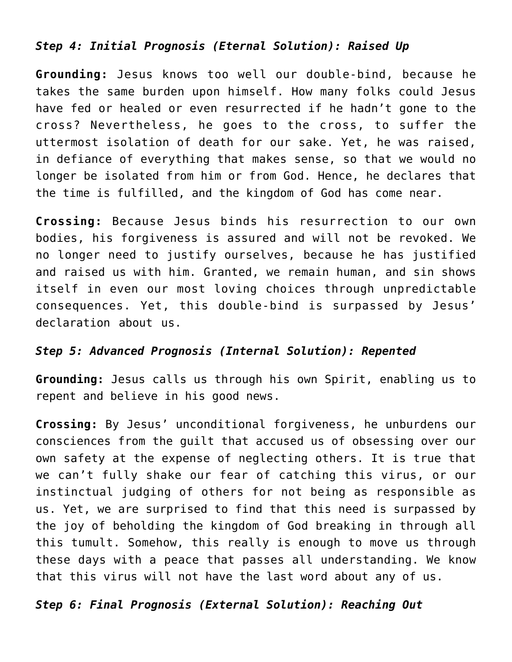#### *Step 4: Initial Prognosis (Eternal Solution): Raised Up*

**Grounding:** Jesus knows too well our double-bind, because he takes the same burden upon himself. How many folks could Jesus have fed or healed or even resurrected if he hadn't gone to the cross? Nevertheless, he goes to the cross, to suffer the uttermost isolation of death for our sake. Yet, he was raised, in defiance of everything that makes sense, so that we would no longer be isolated from him or from God. Hence, he declares that the time is fulfilled, and the kingdom of God has come near.

**Crossing:** Because Jesus binds his resurrection to our own bodies, his forgiveness is assured and will not be revoked. We no longer need to justify ourselves, because he has justified and raised us with him. Granted, we remain human, and sin shows itself in even our most loving choices through unpredictable consequences. Yet, this double-bind is surpassed by Jesus' declaration about us.

#### *Step 5: Advanced Prognosis (Internal Solution): Repented*

**Grounding:** Jesus calls us through his own Spirit, enabling us to repent and believe in his good news.

**Crossing:** By Jesus' unconditional forgiveness, he unburdens our consciences from the guilt that accused us of obsessing over our own safety at the expense of neglecting others. It is true that we can't fully shake our fear of catching this virus, or our instinctual judging of others for not being as responsible as us. Yet, we are surprised to find that this need is surpassed by the joy of beholding the kingdom of God breaking in through all this tumult. Somehow, this really is enough to move us through these days with a peace that passes all understanding. We know that this virus will not have the last word about any of us.

#### *Step 6: Final Prognosis (External Solution): Reaching Out*